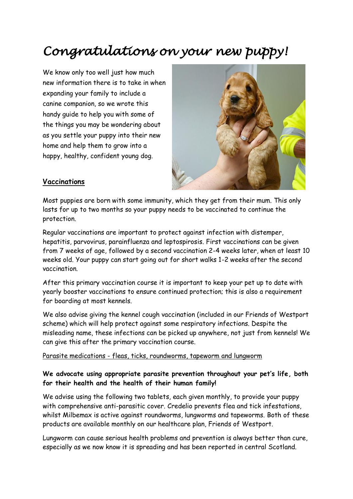# *Congratulations on your new puppy!*

We know only too well just how much new information there is to take in when expanding your family to include a canine companion, so we wrote this handy guide to help you with some of the things you may be wondering about as you settle your puppy into their new home and help them to grow into a happy, healthy, confident young dog.



#### **Vaccinations**

Most puppies are born with some immunity, which they get from their mum. This only lasts for up to two months so your puppy needs to be vaccinated to continue the protection.

Regular vaccinations are important to protect against infection with distemper, hepatitis, parvovirus, parainfluenza and leptospirosis. First vaccinations can be given from 7 weeks of age, followed by a second vaccination 2-4 weeks later, when at least 10 weeks old. Your puppy can start going out for short walks 1-2 weeks after the second vaccination.

After this primary vaccination course it is important to keep your pet up to date with yearly booster vaccinations to ensure continued protection; this is also a requirement for boarding at most kennels.

We also advise giving the kennel cough vaccination (included in our Friends of Westport scheme) which will help protect against some respiratory infections. Despite the misleading name, these infections can be picked up anywhere, not just from kennels! We can give this after the primary vaccination course.

#### Parasite medications - fleas, ticks, roundworms, tapeworm and lungworm

### **We advocate using appropriate parasite prevention throughout your pet's life, both for their health and the health of their human family!**

We advise using the following two tablets, each given monthly, to provide your puppy with comprehensive anti-parasitic cover. Credelio prevents flea and tick infestations, whilst Milbemax is active against roundworms, lungworms and tapeworms. Both of these products are available monthly on our healthcare plan, Friends of Westport.

Lungworm can cause serious health problems and prevention is always better than cure, especially as we now know it is spreading and has been reported in central Scotland.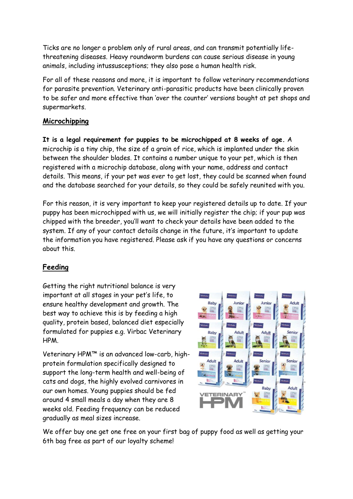Ticks are no longer a problem only of rural areas, and can transmit potentially lifethreatening diseases. Heavy roundworm burdens can cause serious disease in young animals, including intussusceptions; they also pose a human health risk.

For all of these reasons and more, it is important to follow veterinary recommendations for parasite prevention. Veterinary anti-parasitic products have been clinically proven to be safer and more effective than 'over the counter' versions bought at pet shops and supermarkets.

### **Microchipping**

**It is a legal requirement for puppies to be microchipped at 8 weeks of age.** A microchip is a tiny chip, the size of a grain of rice, which is implanted under the skin between the shoulder blades. It contains a number unique to your pet, which is then registered with a microchip database, along with your name, address and contact details. This means, if your pet was ever to get lost, they could be scanned when found and the database searched for your details, so they could be safely reunited with you.

For this reason, it is very important to keep your registered details up to date. If your puppy has been microchipped with us, we will initially register the chip; if your pup was chipped with the breeder, you'll want to check your details have been added to the system. If any of your contact details change in the future, it's important to update the information you have registered. Please ask if you have any questions or concerns about this.

## **Feeding**

Getting the right nutritional balance is very important at all stages in your pet's life, to ensure healthy development and growth. The best way to achieve this is by feeding a high quality, protein based, balanced diet especially formulated for puppies e.g. Virbac Veterinary HPM.

Veterinary HPM™ is an advanced low-carb, highprotein formulation specifically designed to support the long-term health and well-being of cats and dogs, the highly evolved carnivores in our own homes. Young puppies should be fed around 4 small meals a day when they are 8 weeks old. Feeding frequency can be reduced gradually as meal sizes increase.



We offer buy one get one free on your first bag of puppy food as well as getting your 6th bag free as part of our loyalty scheme!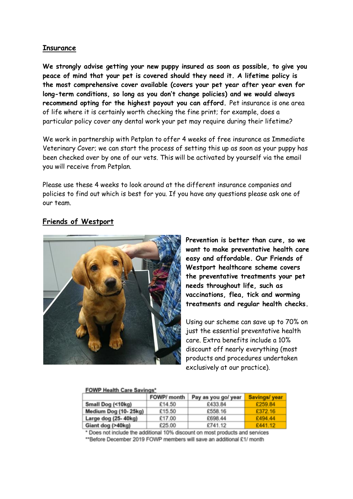#### **Insurance**

**We strongly advise getting your new puppy insured as soon as possible, to give you peace of mind that your pet is covered should they need it. A lifetime policy is the most comprehensive cover available (covers your pet year after year even for long-term conditions, so long as you don't change policies) and we would always recommend opting for the highest payout you can afford.** Pet insurance is one area of life where it is certainly worth checking the fine print; for example, does a particular policy cover any dental work your pet may require during their lifetime?

We work in partnership with Petplan to offer 4 weeks of free insurance as Immediate Veterinary Cover; we can start the process of setting this up as soon as your puppy has been checked over by one of our vets. This will be activated by yourself via the email you will receive from Petplan.

Please use these 4 weeks to look around at the different insurance companies and policies to find out which is best for you. If you have any questions please ask one of our team.

### **Friends of Westport**



**Prevention is better than cure, so we want to make preventative health care easy and affordable. Our Friends of Westport healthcare scheme covers the preventative treatments your pet needs throughout life, such as vaccinations, flea, tick and worming treatments and regular health checks.**

Using our scheme can save up to 70% on just the essential preventative health care. Extra benefits include a 10% discount off nearly everything (most products and procedures undertaken exclusively at our practice).

#### **FOWP Health Care Savings\***

|                      | FOWP/ month | Pay as you go/ year | Savings/year |
|----------------------|-------------|---------------------|--------------|
| Small Dog (<10kg)    | £14.50      | £433.84             | £259.84      |
| Medium Dog (10-25kg) | £15.50      | £558.16             | £372.16      |
| Large dog (25-40kg)  | £17.00      | £698.44             | £494.44      |
| Giant dog (>40kg)    | £25.00      | £741.12             | £441.12      |

\* Does not include the additional 10% discount on most products and services

\*\*Before December 2019 FOWP members will save an additional £1/ month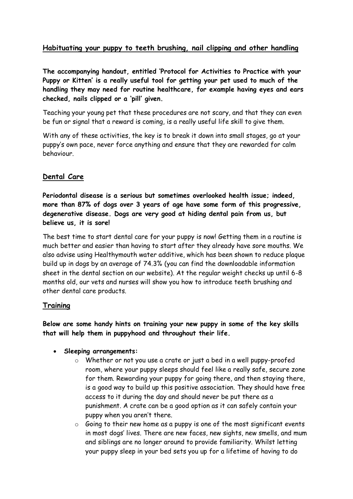## **Habituating your puppy to teeth brushing, nail clipping and other handling**

**The accompanying handout, entitled 'Protocol for Activities to Practice with your Puppy or Kitten' is a really useful tool for getting your pet used to much of the handling they may need for routine healthcare, for example having eyes and ears checked, nails clipped or a 'pill' given.**

Teaching your young pet that these procedures are not scary, and that they can even be fun or signal that a reward is coming, is a really useful life skill to give them.

With any of these activities, the key is to break it down into small stages, go at your puppy's own pace, never force anything and ensure that they are rewarded for calm behaviour.

## **Dental Care**

**Periodontal disease is a serious but sometimes overlooked health issue; indeed, more than 87% of dogs over 3 years of age have some form of this progressive, degenerative disease. Dogs are very good at hiding dental pain from us, but believe us, it is sore!**

The best time to start dental care for your puppy is now! Getting them in a routine is much better and easier than having to start after they already have sore mouths. We also advise using Healthymouth water additive, which has been shown to reduce plaque build up in dogs by an average of 74.3% (you can find the downloadable information sheet in the dental section on our website). At the regular weight checks up until 6-8 months old, our vets and nurses will show you how to introduce teeth brushing and other dental care products.

### **Training**

**Below are some handy hints on training your new puppy in some of the key skills that will help them in puppyhood and throughout their life.**

#### • **Sleeping arrangements:**

- o Whether or not you use a crate or just a bed in a well puppy-proofed room, where your puppy sleeps should feel like a really safe, secure zone for them. Rewarding your puppy for going there, and then staying there, is a good way to build up this positive association. They should have free access to it during the day and should never be put there as a punishment. A crate can be a good option as it can safely contain your puppy when you aren't there.
- $\circ$  Going to their new home as a puppy is one of the most significant events in most dogs' lives. There are new faces, new sights, new smells, and mum and siblings are no longer around to provide familiarity. Whilst letting your puppy sleep in your bed sets you up for a lifetime of having to do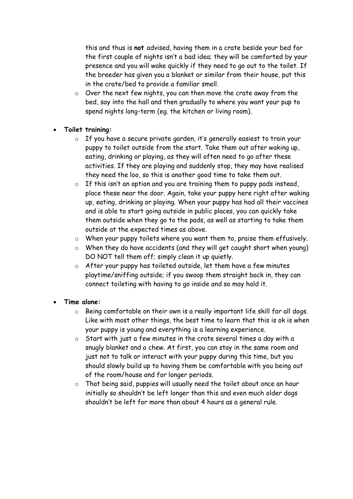this and thus is **not** advised, having them in a crate beside your bed for the first couple of nights isn't a bad idea; they will be comforted by your presence and you will wake quickly if they need to go out to the toilet. If the breeder has given you a blanket or similar from their house, put this in the crate/bed to provide a familiar smell.

o Over the next few nights, you can then move the crate away from the bed, say into the hall and then gradually to where you want your pup to spend nights long-term (eg. the kitchen or living room).

### • **Toilet training:**

- o If you have a secure private garden, it's generally easiest to train your puppy to toilet outside from the start. Take them out after waking up, eating, drinking or playing, as they will often need to go after these activities. If they are playing and suddenly stop, they may have realised they need the loo, so this is another good time to take them out.
- o If this isn't an option and you are training them to puppy pads instead, place these near the door. Again, take your puppy here right after waking up, eating, drinking or playing. When your puppy has had all their vaccines and is able to start going outside in public places, you can quickly take them outside when they go to the pads, as well as starting to take them outside at the expected times as above.
- o When your puppy toilets where you want them to, praise them effusively.
- o When they do have accidents (and they will get caught short when young) DO NOT tell them off; simply clean it up quietly.
- o After your puppy has toileted outside, let them have a few minutes playtime/sniffing outside; if you swoop them straight back in, they can connect toileting with having to go inside and so may hold it.

### • **Time alone:**

- o Being comfortable on their own is a really important life skill for all dogs. Like with most other things, the best time to learn that this is ok is when your puppy is young and everything is a learning experience.
- o Start with just a few minutes in the crate several times a day with a snugly blanket and a chew. At first, you can stay in the same room and just not to talk or interact with your puppy during this time, but you should slowly build up to having them be comfortable with you being out of the room/house and for longer periods.
- o That being said, puppies will usually need the toilet about once an hour initially so shouldn't be left longer than this and even much older dogs shouldn't be left for more than about 4 hours as a general rule.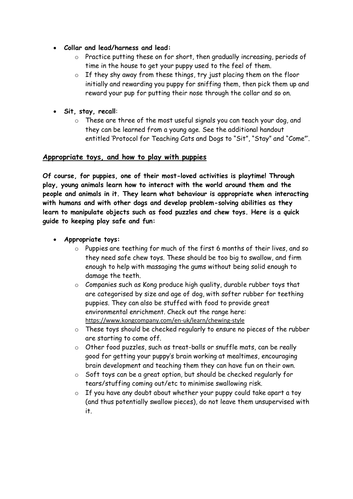- **Collar and lead/harness and lead:**
	- o Practice putting these on for short, then gradually increasing, periods of time in the house to get your puppy used to the feel of them.
	- o If they shy away from these things, try just placing them on the floor initially and rewarding you puppy for sniffing them, then pick them up and reward your pup for putting their nose through the collar and so on.
- **Sit, stay, recall**:
	- o These are three of the most useful signals you can teach your dog, and they can be learned from a young age. See the additional handout entitled 'Protocol for Teaching Cats and Dogs to "Sit", "Stay" and "Come"'.

#### **Appropriate toys, and how to play with puppies**

**Of course, for puppies, one of their most-loved activities is playtime! Through play, young animals learn how to interact with the world around them and the people and animals in it. They learn what behaviour is appropriate when interacting with humans and with other dogs and develop problem-solving abilities as they learn to manipulate objects such as food puzzles and chew toys. Here is a quick guide to keeping play safe and fun:**

- **Appropriate toys:** 
	- o Puppies are teething for much of the first 6 months of their lives, and so they need safe chew toys. These should be too big to swallow, and firm enough to help with massaging the gums without being solid enough to damage the teeth.
	- o Companies such as Kong produce high quality, durable rubber toys that are categorised by size and age of dog, with softer rubber for teething puppies. They can also be stuffed with food to provide great environmental enrichment. Check out the range here: <https://www.kongcompany.com/en-uk/learn/chewing-style>
	- o These toys should be checked regularly to ensure no pieces of the rubber are starting to come off.
	- o Other food puzzles, such as treat-balls or snuffle mats, can be really good for getting your puppy's brain working at mealtimes, encouraging brain development and teaching them they can have fun on their own.
	- o Soft toys can be a great option, but should be checked regularly for tears/stuffing coming out/etc to minimise swallowing risk.
	- o If you have any doubt about whether your puppy could take apart a toy (and thus potentially swallow pieces), do not leave them unsupervised with it.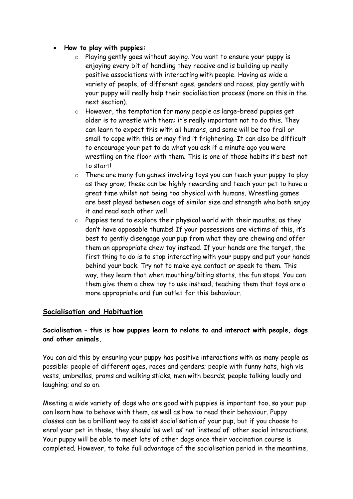- **How to play with puppies:**
	- o Playing gently goes without saying. You want to ensure your puppy is enjoying every bit of handling they receive and is building up really positive associations with interacting with people. Having as wide a variety of people, of different ages, genders and races, play gently with your puppy will really help their socialisation process (more on this in the next section).
	- o However, the temptation for many people as large-breed puppies get older is to wrestle with them: it's really important not to do this. They can learn to expect this with all humans, and some will be too frail or small to cope with this or may find it frightening. It can also be difficult to encourage your pet to do what you ask if a minute ago you were wrestling on the floor with them. This is one of those habits it's best not to start!
	- o There are many fun games involving toys you can teach your puppy to play as they grow; these can be highly rewarding and teach your pet to have a great time whilst not being too physical with humans. Wrestling games are best played between dogs of similar size and strength who both enjoy it and read each other well.
	- o Puppies tend to explore their physical world with their mouths, as they don't have opposable thumbs! If your possessions are victims of this, it's best to gently disengage your pup from what they are chewing and offer them an appropriate chew toy instead. If your hands are the target, the first thing to do is to stop interacting with your puppy and put your hands behind your back. Try not to make eye contact or speak to them. This way, they learn that when mouthing/biting starts, the fun stops. You can them give them a chew toy to use instead, teaching them that toys are a more appropriate and fun outlet for this behaviour.

### **Socialisation and Habituation**

### **Socialisation – this is how puppies learn to relate to and interact with people, dogs and other animals.**

You can aid this by ensuring your puppy has positive interactions with as many people as possible: people of different ages, races and genders; people with funny hats, high vis vests, umbrellas, prams and walking sticks; men with beards; people talking loudly and laughing; and so on.

Meeting a wide variety of dogs who are good with puppies is important too, so your pup can learn how to behave with them, as well as how to read their behaviour. Puppy classes can be a brilliant way to assist socialisation of your pup, but if you choose to enrol your pet in these, they should 'as well as' not 'instead of' other social interactions. Your puppy will be able to meet lots of other dogs once their vaccination course is completed. However, to take full advantage of the socialisation period in the meantime,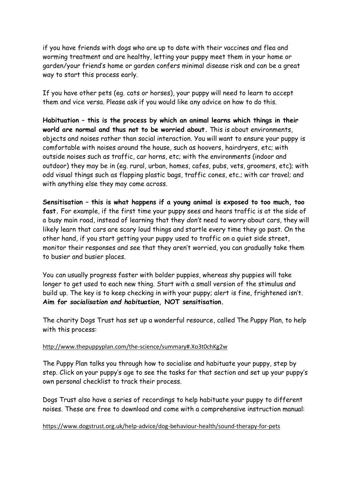if you have friends with dogs who are up to date with their vaccines and flea and worming treatment and are healthy, letting your puppy meet them in your home or garden/your friend's home or garden confers minimal disease risk and can be a great way to start this process early.

If you have other pets (eg. cats or horses), your puppy will need to learn to accept them and vice versa. Please ask if you would like any advice on how to do this.

**Habituation – this is the process by which an animal learns which things in their world are normal and thus not to be worried about.** This is about environments, objects and noises rather than social interaction. You will want to ensure your puppy is comfortable with noises around the house, such as hoovers, hairdryers, etc; with outside noises such as traffic, car horns, etc; with the environments (indoor and outdoor) they may be in (eg. rural, urban, homes, cafes, pubs, vets, groomers, etc); with odd visual things such as flapping plastic bags, traffic cones, etc.; with car travel; and with anything else they may come across.

**Sensitisation – this is what happens if a young animal is exposed to too much, too fast.** For example, if the first time your puppy sees and hears traffic is at the side of a busy main road, instead of learning that they *don't* need to worry about cars, they will likely learn that cars are scary loud things and startle every time they go past. On the other hand, if you start getting your puppy used to traffic on a quiet side street, monitor their responses and see that they aren't worried, you can gradually take them to busier and busier places.

You can usually progress faster with bolder puppies, whereas shy puppies will take longer to get used to each new thing. Start with a small version of the stimulus and build up. The key is to keep checking in with your puppy; alert is fine, frightened isn't. **Aim for** *socialisation and habituation,* **NOT sensitisation.**

The charity Dogs Trust has set up a wonderful resource, called The Puppy Plan, to help with this process:

#### <http://www.thepuppyplan.com/the-science/summary#.Xo3t0chKg2w>

The Puppy Plan talks you through how to socialise and habituate your puppy, step by step. Click on your puppy's age to see the tasks for that section and set up your puppy's own personal checklist to track their process.

Dogs Trust also have a series of recordings to help habituate your puppy to different noises. These are free to download and come with a comprehensive instruction manual:

#### <https://www.dogstrust.org.uk/help-advice/dog-behaviour-health/sound-therapy-for-pets>